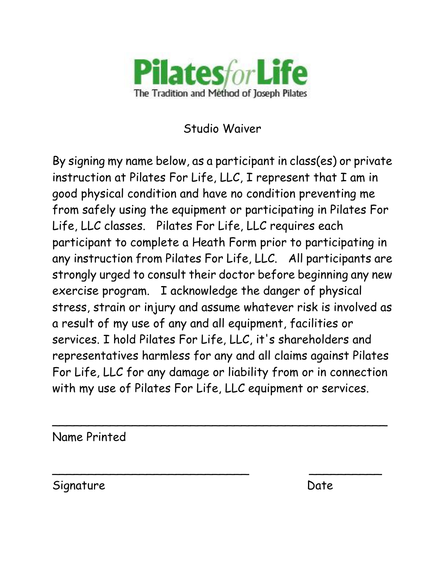

Studio Waiver

By signing my name below, as a participant in class(es) or private instruction at Pilates For Life, LLC, I represent that I am in good physical condition and have no condition preventing me from safely using the equipment or participating in Pilates For Life, LLC classes. Pilates For Life, LLC requires each participant to complete a Heath Form prior to participating in any instruction from Pilates For Life, LLC. All participants are strongly urged to consult their doctor before beginning any new exercise program. I acknowledge the danger of physical stress, strain or injury and assume whatever risk is involved as a result of my use of any and all equipment, facilities or services. I hold Pilates For Life, LLC, it's shareholders and representatives harmless for any and all claims against Pilates For Life, LLC for any damage or liability from or in connection with my use of Pilates For Life, LLC equipment or services.

 $\overline{\phantom{a}}$ 

 $\overline{\phantom{a}}$ 

Name Printed

Signature Date